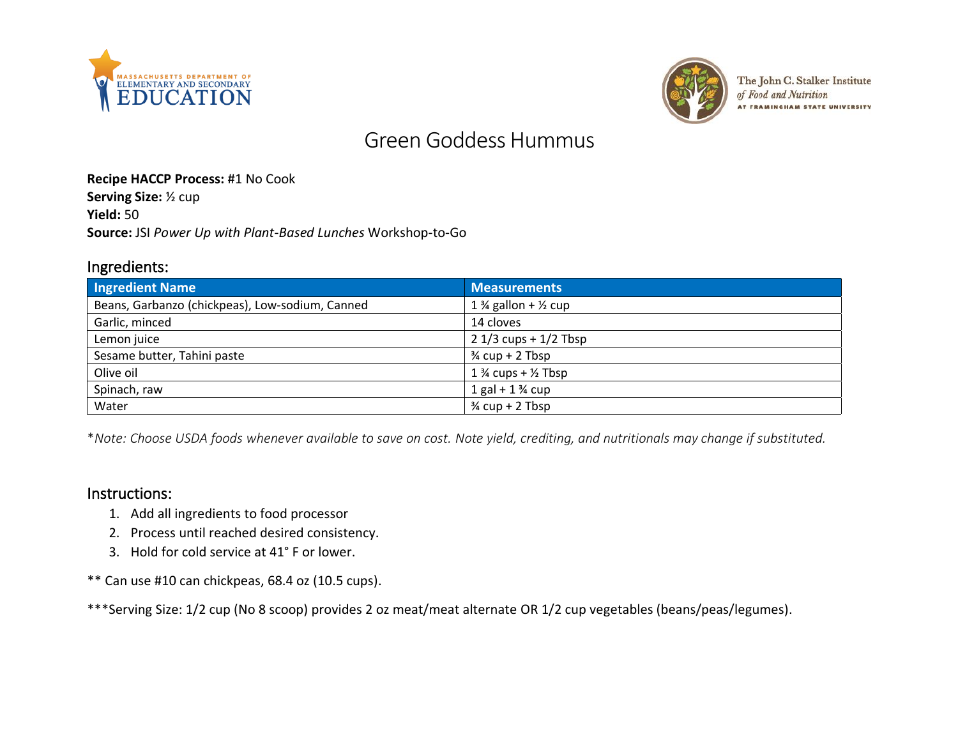



The John C. Stalker Institute of Food and Nutrition AT FRAMINGHAM STATE UNIVERSITY

# Green Goddess Hummus

#### **Recipe HACCP Process:** #1 No Cook

**Serving Size:** ½ cup

**Yield:** 50

**Source:** JSI *Power Up with Plant-Based Lunches* Workshop-to-Go

#### Ingredients:

| <b>Ingredient Name</b>                          | <b>Measurements</b>                        |
|-------------------------------------------------|--------------------------------------------|
| Beans, Garbanzo (chickpeas), Low-sodium, Canned | 1 $\frac{3}{4}$ gallon + $\frac{1}{2}$ cup |
| Garlic, minced                                  | 14 cloves                                  |
| Lemon juice                                     | $21/3$ cups + $1/2$ Tbsp                   |
| Sesame butter, Tahini paste                     | $\frac{3}{4}$ cup + 2 Tbsp                 |
| Olive oil                                       | 1 $\frac{3}{4}$ cups + $\frac{1}{2}$ Tbsp  |
| Spinach, raw                                    | $1 gal + 1 \frac{3}{4} cup$                |
| Water                                           | $\frac{3}{4}$ cup + 2 Tbsp                 |

\**Note: Choose USDA foods whenever available to save on cost. Note yield, crediting, and nutritionals may change if substituted.*

#### Instructions:

- 1. Add all ingredients to food processor
- 2. Process until reached desired consistency.
- 3. Hold for cold service at 41° F or lower.

\*\* Can use #10 can chickpeas, 68.4 oz (10.5 cups).

\*\*\*Serving Size: 1/2 cup (No 8 scoop) provides 2 oz meat/meat alternate OR 1/2 cup vegetables (beans/peas/legumes).